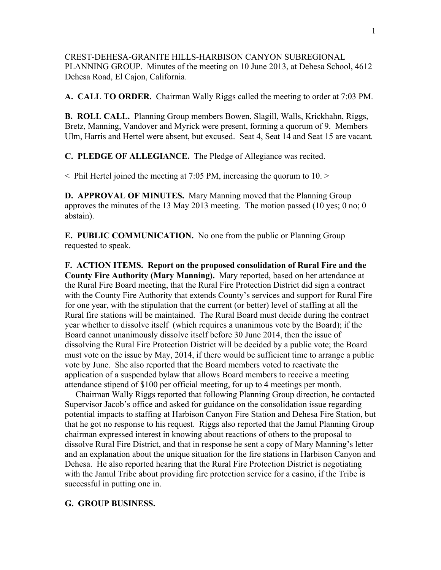CREST-DEHESA-GRANITE HILLS-HARBISON CANYON SUBREGIONAL PLANNING GROUP. Minutes of the meeting on 10 June 2013, at Dehesa School, 4612 Dehesa Road, El Cajon, California.

**A. CALL TO ORDER.** Chairman Wally Riggs called the meeting to order at 7:03 PM.

**B. ROLL CALL.** Planning Group members Bowen, Slagill, Walls, Krickhahn, Riggs, Bretz, Manning, Vandover and Myrick were present, forming a quorum of 9. Members Ulm, Harris and Hertel were absent, but excused. Seat 4, Seat 14 and Seat 15 are vacant.

**C. PLEDGE OF ALLEGIANCE.** The Pledge of Allegiance was recited.

< Phil Hertel joined the meeting at 7:05 PM, increasing the quorum to 10. >

**D. APPROVAL OF MINUTES.** Mary Manning moved that the Planning Group approves the minutes of the 13 May 2013 meeting. The motion passed (10 yes; 0 no; 0 abstain).

**E. PUBLIC COMMUNICATION.** No one from the public or Planning Group requested to speak.

**F. ACTION ITEMS. Report on the proposed consolidation of Rural Fire and the County Fire Authority (Mary Manning).** Mary reported, based on her attendance at the Rural Fire Board meeting, that the Rural Fire Protection District did sign a contract with the County Fire Authority that extends County's services and support for Rural Fire for one year, with the stipulation that the current (or better) level of staffing at all the Rural fire stations will be maintained. The Rural Board must decide during the contract year whether to dissolve itself (which requires a unanimous vote by the Board); if the Board cannot unanimously dissolve itself before 30 June 2014, then the issue of dissolving the Rural Fire Protection District will be decided by a public vote; the Board must vote on the issue by May, 2014, if there would be sufficient time to arrange a public vote by June. She also reported that the Board members voted to reactivate the application of a suspended bylaw that allows Board members to receive a meeting attendance stipend of \$100 per official meeting, for up to 4 meetings per month.

 Chairman Wally Riggs reported that following Planning Group direction, he contacted Supervisor Jacob's office and asked for guidance on the consolidation issue regarding potential impacts to staffing at Harbison Canyon Fire Station and Dehesa Fire Station, but that he got no response to his request. Riggs also reported that the Jamul Planning Group chairman expressed interest in knowing about reactions of others to the proposal to dissolve Rural Fire District, and that in response he sent a copy of Mary Manning's letter and an explanation about the unique situation for the fire stations in Harbison Canyon and Dehesa. He also reported hearing that the Rural Fire Protection District is negotiating with the Jamul Tribe about providing fire protection service for a casino, if the Tribe is successful in putting one in.

## **G. GROUP BUSINESS.**